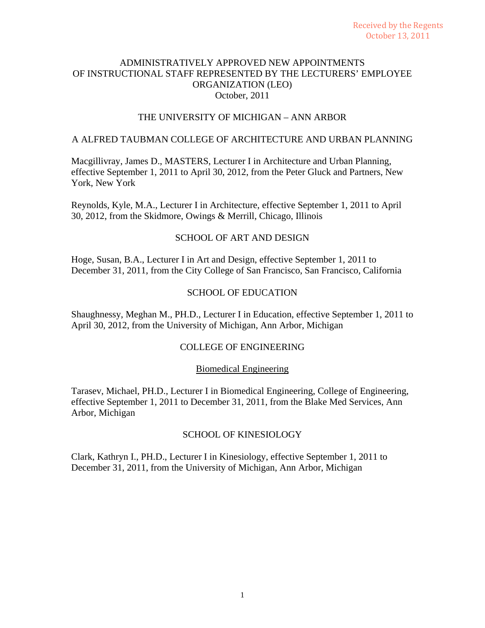# THE UNIVERSITY OF MICHIGAN – ANN ARBOR

## A ALFRED TAUBMAN COLLEGE OF ARCHITECTURE AND URBAN PLANNING

Macgillivray, James D., MASTERS, Lecturer I in Architecture and Urban Planning, effective September 1, 2011 to April 30, 2012, from the Peter Gluck and Partners, New York, New York

Reynolds, Kyle, M.A., Lecturer I in Architecture, effective September 1, 2011 to April 30, 2012, from the Skidmore, Owings & Merrill, Chicago, Illinois

## SCHOOL OF ART AND DESIGN

Hoge, Susan, B.A., Lecturer I in Art and Design, effective September 1, 2011 to December 31, 2011, from the City College of San Francisco, San Francisco, California

# SCHOOL OF EDUCATION

Shaughnessy, Meghan M., PH.D., Lecturer I in Education, effective September 1, 2011 to April 30, 2012, from the University of Michigan, Ann Arbor, Michigan

## COLLEGE OF ENGINEERING

## Biomedical Engineering

Tarasev, Michael, PH.D., Lecturer I in Biomedical Engineering, College of Engineering, effective September 1, 2011 to December 31, 2011, from the Blake Med Services, Ann Arbor, Michigan

## SCHOOL OF KINESIOLOGY

Clark, Kathryn I., PH.D., Lecturer I in Kinesiology, effective September 1, 2011 to December 31, 2011, from the University of Michigan, Ann Arbor, Michigan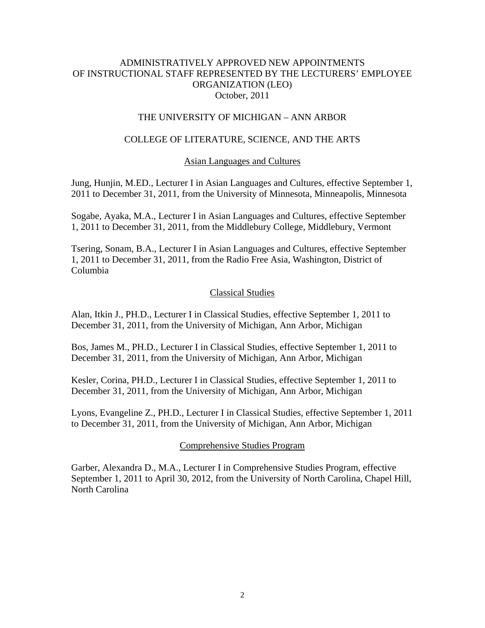# THE UNIVERSITY OF MICHIGAN – ANN ARBOR

# COLLEGE OF LITERATURE, SCIENCE, AND THE ARTS

### Asian Languages and Cultures

Jung, Hunjin, M.ED., Lecturer I in Asian Languages and Cultures, effective September 1, 2011 to December 31, 2011, from the University of Minnesota, Minneapolis, Minnesota

Sogabe, Ayaka, M.A., Lecturer I in Asian Languages and Cultures, effective September 1, 2011 to December 31, 2011, from the Middlebury College, Middlebury, Vermont

Tsering, Sonam, B.A., Lecturer I in Asian Languages and Cultures, effective September 1, 2011 to December 31, 2011, from the Radio Free Asia, Washington, District of Columbia

### Classical Studies

Alan, Itkin J., PH.D., Lecturer I in Classical Studies, effective September 1, 2011 to December 31, 2011, from the University of Michigan, Ann Arbor, Michigan

Bos, James M., PH.D., Lecturer I in Classical Studies, effective September 1, 2011 to December 31, 2011, from the University of Michigan, Ann Arbor, Michigan

Kesler, Corina, PH.D., Lecturer I in Classical Studies, effective September 1, 2011 to December 31, 2011, from the University of Michigan, Ann Arbor, Michigan

Lyons, Evangeline Z., PH.D., Lecturer I in Classical Studies, effective September 1, 2011 to December 31, 2011, from the University of Michigan, Ann Arbor, Michigan

#### Comprehensive Studies Program

Garber, Alexandra D., M.A., Lecturer I in Comprehensive Studies Program, effective September 1, 2011 to April 30, 2012, from the University of North Carolina, Chapel Hill, North Carolina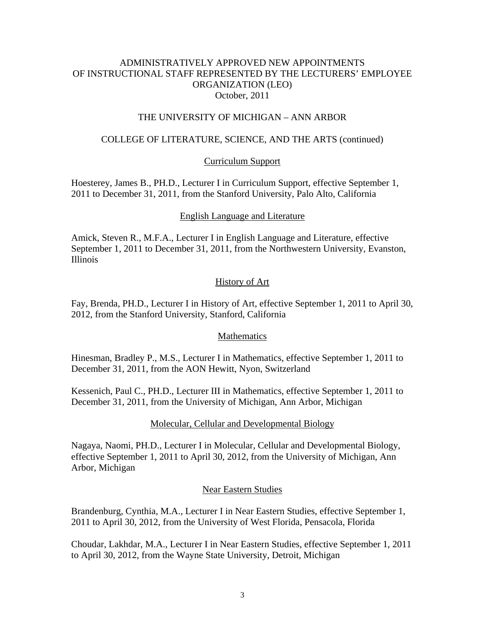# THE UNIVERSITY OF MICHIGAN – ANN ARBOR

# COLLEGE OF LITERATURE, SCIENCE, AND THE ARTS (continued)

# Curriculum Support

Hoesterey, James B., PH.D., Lecturer I in Curriculum Support, effective September 1, 2011 to December 31, 2011, from the Stanford University, Palo Alto, California

## English Language and Literature

Amick, Steven R., M.F.A., Lecturer I in English Language and Literature, effective September 1, 2011 to December 31, 2011, from the Northwestern University, Evanston, Illinois

# History of Art

Fay, Brenda, PH.D., Lecturer I in History of Art, effective September 1, 2011 to April 30, 2012, from the Stanford University, Stanford, California

## Mathematics

Hinesman, Bradley P., M.S., Lecturer I in Mathematics, effective September 1, 2011 to December 31, 2011, from the AON Hewitt, Nyon, Switzerland

Kessenich, Paul C., PH.D., Lecturer III in Mathematics, effective September 1, 2011 to December 31, 2011, from the University of Michigan, Ann Arbor, Michigan

## Molecular, Cellular and Developmental Biology

Nagaya, Naomi, PH.D., Lecturer I in Molecular, Cellular and Developmental Biology, effective September 1, 2011 to April 30, 2012, from the University of Michigan, Ann Arbor, Michigan

## Near Eastern Studies

Brandenburg, Cynthia, M.A., Lecturer I in Near Eastern Studies, effective September 1, 2011 to April 30, 2012, from the University of West Florida, Pensacola, Florida

Choudar, Lakhdar, M.A., Lecturer I in Near Eastern Studies, effective September 1, 2011 to April 30, 2012, from the Wayne State University, Detroit, Michigan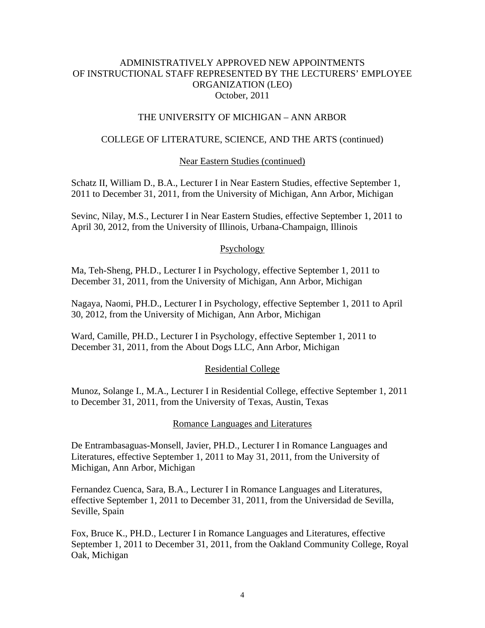## THE UNIVERSITY OF MICHIGAN – ANN ARBOR

## COLLEGE OF LITERATURE, SCIENCE, AND THE ARTS (continued)

### Near Eastern Studies (continued)

Schatz II, William D., B.A., Lecturer I in Near Eastern Studies, effective September 1, 2011 to December 31, 2011, from the University of Michigan, Ann Arbor, Michigan

Sevinc, Nilay, M.S., Lecturer I in Near Eastern Studies, effective September 1, 2011 to April 30, 2012, from the University of Illinois, Urbana-Champaign, Illinois

#### Psychology

Ma, Teh-Sheng, PH.D., Lecturer I in Psychology, effective September 1, 2011 to December 31, 2011, from the University of Michigan, Ann Arbor, Michigan

Nagaya, Naomi, PH.D., Lecturer I in Psychology, effective September 1, 2011 to April 30, 2012, from the University of Michigan, Ann Arbor, Michigan

Ward, Camille, PH.D., Lecturer I in Psychology, effective September 1, 2011 to December 31, 2011, from the About Dogs LLC, Ann Arbor, Michigan

#### Residential College

Munoz, Solange I., M.A., Lecturer I in Residential College, effective September 1, 2011 to December 31, 2011, from the University of Texas, Austin, Texas

#### Romance Languages and Literatures

De Entrambasaguas-Monsell, Javier, PH.D., Lecturer I in Romance Languages and Literatures, effective September 1, 2011 to May 31, 2011, from the University of Michigan, Ann Arbor, Michigan

Fernandez Cuenca, Sara, B.A., Lecturer I in Romance Languages and Literatures, effective September 1, 2011 to December 31, 2011, from the Universidad de Sevilla, Seville, Spain

Fox, Bruce K., PH.D., Lecturer I in Romance Languages and Literatures, effective September 1, 2011 to December 31, 2011, from the Oakland Community College, Royal Oak, Michigan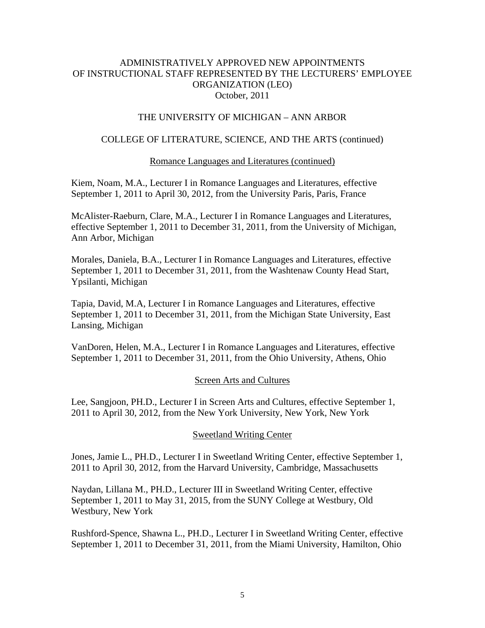## THE UNIVERSITY OF MICHIGAN – ANN ARBOR

## COLLEGE OF LITERATURE, SCIENCE, AND THE ARTS (continued)

### Romance Languages and Literatures (continued)

Kiem, Noam, M.A., Lecturer I in Romance Languages and Literatures, effective September 1, 2011 to April 30, 2012, from the University Paris, Paris, France

McAlister-Raeburn, Clare, M.A., Lecturer I in Romance Languages and Literatures, effective September 1, 2011 to December 31, 2011, from the University of Michigan, Ann Arbor, Michigan

Morales, Daniela, B.A., Lecturer I in Romance Languages and Literatures, effective September 1, 2011 to December 31, 2011, from the Washtenaw County Head Start, Ypsilanti, Michigan

Tapia, David, M.A, Lecturer I in Romance Languages and Literatures, effective September 1, 2011 to December 31, 2011, from the Michigan State University, East Lansing, Michigan

VanDoren, Helen, M.A., Lecturer I in Romance Languages and Literatures, effective September 1, 2011 to December 31, 2011, from the Ohio University, Athens, Ohio

#### Screen Arts and Cultures

Lee, Sangjoon, PH.D., Lecturer I in Screen Arts and Cultures, effective September 1, 2011 to April 30, 2012, from the New York University, New York, New York

#### Sweetland Writing Center

Jones, Jamie L., PH.D., Lecturer I in Sweetland Writing Center, effective September 1, 2011 to April 30, 2012, from the Harvard University, Cambridge, Massachusetts

Naydan, Lillana M., PH.D., Lecturer III in Sweetland Writing Center, effective September 1, 2011 to May 31, 2015, from the SUNY College at Westbury, Old Westbury, New York

Rushford-Spence, Shawna L., PH.D., Lecturer I in Sweetland Writing Center, effective September 1, 2011 to December 31, 2011, from the Miami University, Hamilton, Ohio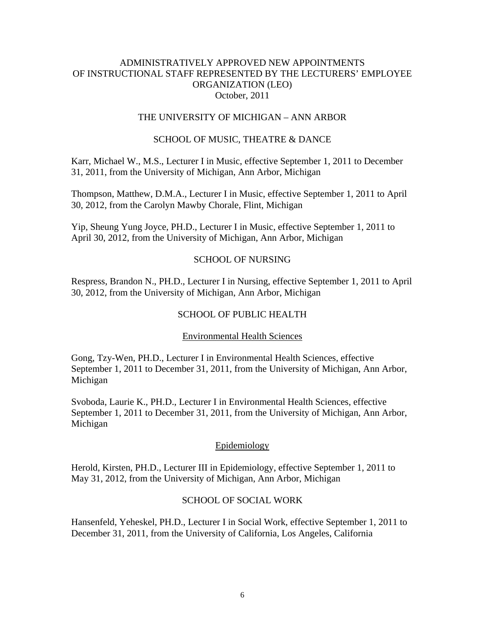## THE UNIVERSITY OF MICHIGAN – ANN ARBOR

## SCHOOL OF MUSIC, THEATRE & DANCE

Karr, Michael W., M.S., Lecturer I in Music, effective September 1, 2011 to December 31, 2011, from the University of Michigan, Ann Arbor, Michigan

Thompson, Matthew, D.M.A., Lecturer I in Music, effective September 1, 2011 to April 30, 2012, from the Carolyn Mawby Chorale, Flint, Michigan

Yip, Sheung Yung Joyce, PH.D., Lecturer I in Music, effective September 1, 2011 to April 30, 2012, from the University of Michigan, Ann Arbor, Michigan

#### SCHOOL OF NURSING

Respress, Brandon N., PH.D., Lecturer I in Nursing, effective September 1, 2011 to April 30, 2012, from the University of Michigan, Ann Arbor, Michigan

### SCHOOL OF PUBLIC HEALTH

#### Environmental Health Sciences

Gong, Tzy-Wen, PH.D., Lecturer I in Environmental Health Sciences, effective September 1, 2011 to December 31, 2011, from the University of Michigan, Ann Arbor, Michigan

Svoboda, Laurie K., PH.D., Lecturer I in Environmental Health Sciences, effective September 1, 2011 to December 31, 2011, from the University of Michigan, Ann Arbor, Michigan

#### Epidemiology

Herold, Kirsten, PH.D., Lecturer III in Epidemiology, effective September 1, 2011 to May 31, 2012, from the University of Michigan, Ann Arbor, Michigan

#### SCHOOL OF SOCIAL WORK

Hansenfeld, Yeheskel, PH.D., Lecturer I in Social Work, effective September 1, 2011 to December 31, 2011, from the University of California, Los Angeles, California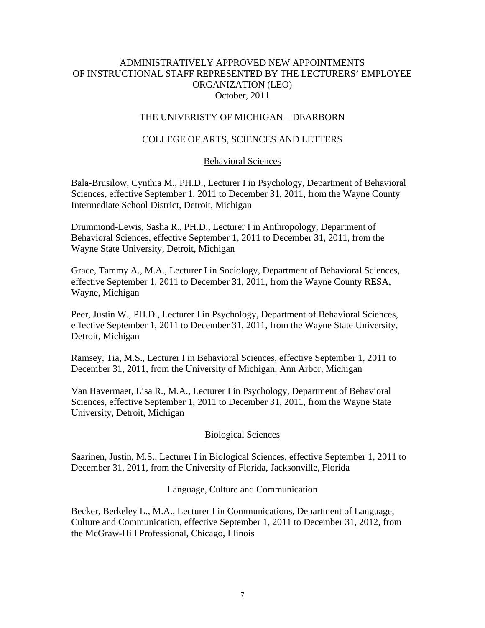## THE UNIVERISTY OF MICHIGAN – DEARBORN

# COLLEGE OF ARTS, SCIENCES AND LETTERS

## Behavioral Sciences

Bala-Brusilow, Cynthia M., PH.D., Lecturer I in Psychology, Department of Behavioral Sciences, effective September 1, 2011 to December 31, 2011, from the Wayne County Intermediate School District, Detroit, Michigan

Drummond-Lewis, Sasha R., PH.D., Lecturer I in Anthropology, Department of Behavioral Sciences, effective September 1, 2011 to December 31, 2011, from the Wayne State University, Detroit, Michigan

Grace, Tammy A., M.A., Lecturer I in Sociology, Department of Behavioral Sciences, effective September 1, 2011 to December 31, 2011, from the Wayne County RESA, Wayne, Michigan

Peer, Justin W., PH.D., Lecturer I in Psychology, Department of Behavioral Sciences, effective September 1, 2011 to December 31, 2011, from the Wayne State University, Detroit, Michigan

Ramsey, Tia, M.S., Lecturer I in Behavioral Sciences, effective September 1, 2011 to December 31, 2011, from the University of Michigan, Ann Arbor, Michigan

Van Havermaet, Lisa R., M.A., Lecturer I in Psychology, Department of Behavioral Sciences, effective September 1, 2011 to December 31, 2011, from the Wayne State University, Detroit, Michigan

## Biological Sciences

Saarinen, Justin, M.S., Lecturer I in Biological Sciences, effective September 1, 2011 to December 31, 2011, from the University of Florida, Jacksonville, Florida

#### Language, Culture and Communication

Becker, Berkeley L., M.A., Lecturer I in Communications, Department of Language, Culture and Communication, effective September 1, 2011 to December 31, 2012, from the McGraw-Hill Professional, Chicago, Illinois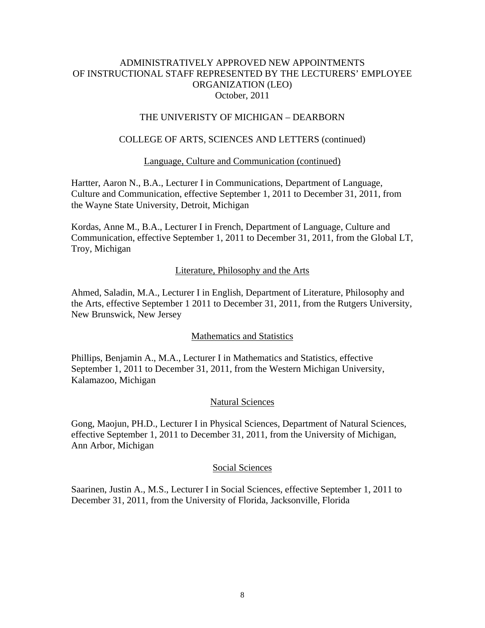### THE UNIVERISTY OF MICHIGAN – DEARBORN

# COLLEGE OF ARTS, SCIENCES AND LETTERS (continued)

#### Language, Culture and Communication (continued)

Hartter, Aaron N., B.A., Lecturer I in Communications, Department of Language, Culture and Communication, effective September 1, 2011 to December 31, 2011, from the Wayne State University, Detroit, Michigan

Kordas, Anne M., B.A., Lecturer I in French, Department of Language, Culture and Communication, effective September 1, 2011 to December 31, 2011, from the Global LT, Troy, Michigan

### Literature, Philosophy and the Arts

Ahmed, Saladin, M.A., Lecturer I in English, Department of Literature, Philosophy and the Arts, effective September 1 2011 to December 31, 2011, from the Rutgers University, New Brunswick, New Jersey

#### Mathematics and Statistics

Phillips, Benjamin A., M.A., Lecturer I in Mathematics and Statistics, effective September 1, 2011 to December 31, 2011, from the Western Michigan University, Kalamazoo, Michigan

#### Natural Sciences

Gong, Maojun, PH.D., Lecturer I in Physical Sciences, Department of Natural Sciences, effective September 1, 2011 to December 31, 2011, from the University of Michigan, Ann Arbor, Michigan

#### Social Sciences

Saarinen, Justin A., M.S., Lecturer I in Social Sciences, effective September 1, 2011 to December 31, 2011, from the University of Florida, Jacksonville, Florida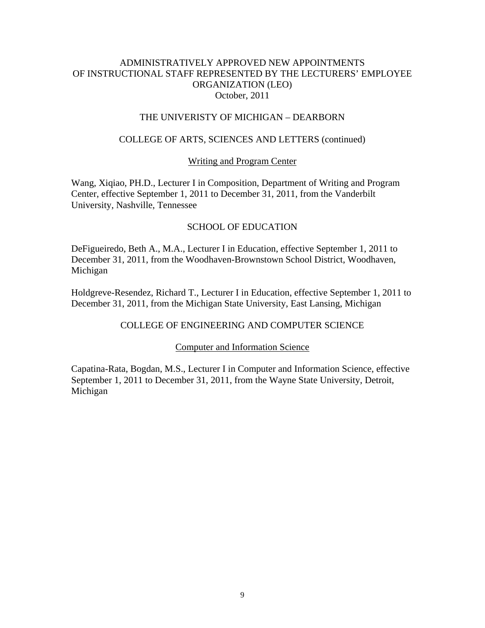## THE UNIVERISTY OF MICHIGAN – DEARBORN

### COLLEGE OF ARTS, SCIENCES AND LETTERS (continued)

### Writing and Program Center

Wang, Xiqiao, PH.D., Lecturer I in Composition, Department of Writing and Program Center, effective September 1, 2011 to December 31, 2011, from the Vanderbilt University, Nashville, Tennessee

### SCHOOL OF EDUCATION

DeFigueiredo, Beth A., M.A., Lecturer I in Education, effective September 1, 2011 to December 31, 2011, from the Woodhaven-Brownstown School District, Woodhaven, Michigan

Holdgreve-Resendez, Richard T., Lecturer I in Education, effective September 1, 2011 to December 31, 2011, from the Michigan State University, East Lansing, Michigan

#### COLLEGE OF ENGINEERING AND COMPUTER SCIENCE

#### Computer and Information Science

Capatina-Rata, Bogdan, M.S., Lecturer I in Computer and Information Science, effective September 1, 2011 to December 31, 2011, from the Wayne State University, Detroit, Michigan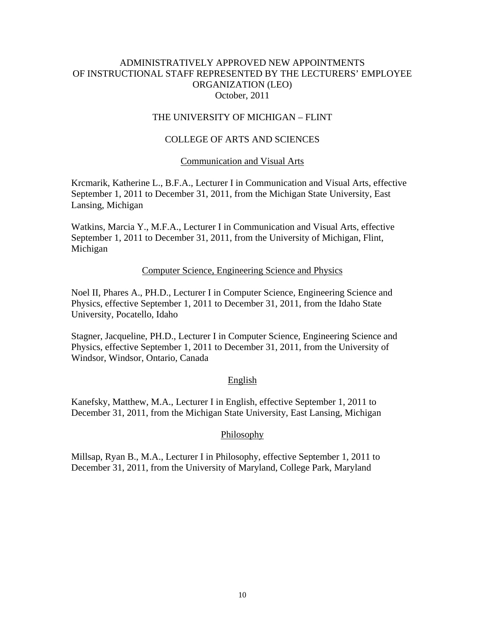# THE UNIVERSITY OF MICHIGAN – FLINT

# COLLEGE OF ARTS AND SCIENCES

#### Communication and Visual Arts

Krcmarik, Katherine L., B.F.A., Lecturer I in Communication and Visual Arts, effective September 1, 2011 to December 31, 2011, from the Michigan State University, East Lansing, Michigan

Watkins, Marcia Y., M.F.A., Lecturer I in Communication and Visual Arts, effective September 1, 2011 to December 31, 2011, from the University of Michigan, Flint, Michigan

#### Computer Science, Engineering Science and Physics

Noel II, Phares A., PH.D., Lecturer I in Computer Science, Engineering Science and Physics, effective September 1, 2011 to December 31, 2011, from the Idaho State University, Pocatello, Idaho

Stagner, Jacqueline, PH.D., Lecturer I in Computer Science, Engineering Science and Physics, effective September 1, 2011 to December 31, 2011, from the University of Windsor, Windsor, Ontario, Canada

#### English

Kanefsky, Matthew, M.A., Lecturer I in English, effective September 1, 2011 to December 31, 2011, from the Michigan State University, East Lansing, Michigan

#### Philosophy

Millsap, Ryan B., M.A., Lecturer I in Philosophy, effective September 1, 2011 to December 31, 2011, from the University of Maryland, College Park, Maryland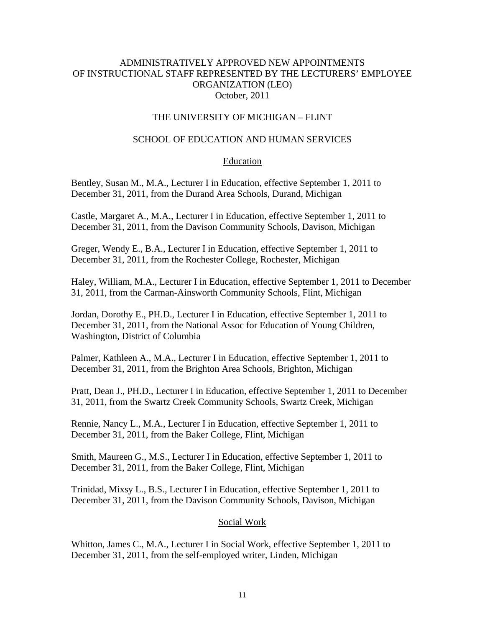## THE UNIVERSITY OF MICHIGAN – FLINT

# SCHOOL OF EDUCATION AND HUMAN SERVICES

### Education

Bentley, Susan M., M.A., Lecturer I in Education, effective September 1, 2011 to December 31, 2011, from the Durand Area Schools, Durand, Michigan

Castle, Margaret A., M.A., Lecturer I in Education, effective September 1, 2011 to December 31, 2011, from the Davison Community Schools, Davison, Michigan

Greger, Wendy E., B.A., Lecturer I in Education, effective September 1, 2011 to December 31, 2011, from the Rochester College, Rochester, Michigan

Haley, William, M.A., Lecturer I in Education, effective September 1, 2011 to December 31, 2011, from the Carman-Ainsworth Community Schools, Flint, Michigan

Jordan, Dorothy E., PH.D., Lecturer I in Education, effective September 1, 2011 to December 31, 2011, from the National Assoc for Education of Young Children, Washington, District of Columbia

Palmer, Kathleen A., M.A., Lecturer I in Education, effective September 1, 2011 to December 31, 2011, from the Brighton Area Schools, Brighton, Michigan

Pratt, Dean J., PH.D., Lecturer I in Education, effective September 1, 2011 to December 31, 2011, from the Swartz Creek Community Schools, Swartz Creek, Michigan

Rennie, Nancy L., M.A., Lecturer I in Education, effective September 1, 2011 to December 31, 2011, from the Baker College, Flint, Michigan

Smith, Maureen G., M.S., Lecturer I in Education, effective September 1, 2011 to December 31, 2011, from the Baker College, Flint, Michigan

Trinidad, Mixsy L., B.S., Lecturer I in Education, effective September 1, 2011 to December 31, 2011, from the Davison Community Schools, Davison, Michigan

#### Social Work

Whitton, James C., M.A., Lecturer I in Social Work, effective September 1, 2011 to December 31, 2011, from the self-employed writer, Linden, Michigan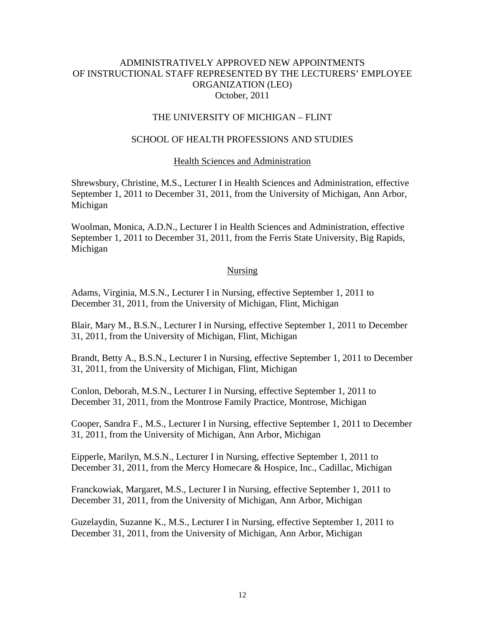## THE UNIVERSITY OF MICHIGAN – FLINT

# SCHOOL OF HEALTH PROFESSIONS AND STUDIES

## Health Sciences and Administration

Shrewsbury, Christine, M.S., Lecturer I in Health Sciences and Administration, effective September 1, 2011 to December 31, 2011, from the University of Michigan, Ann Arbor, Michigan

Woolman, Monica, A.D.N., Lecturer I in Health Sciences and Administration, effective September 1, 2011 to December 31, 2011, from the Ferris State University, Big Rapids, Michigan

### Nursing

Adams, Virginia, M.S.N., Lecturer I in Nursing, effective September 1, 2011 to December 31, 2011, from the University of Michigan, Flint, Michigan

Blair, Mary M., B.S.N., Lecturer I in Nursing, effective September 1, 2011 to December 31, 2011, from the University of Michigan, Flint, Michigan

Brandt, Betty A., B.S.N., Lecturer I in Nursing, effective September 1, 2011 to December 31, 2011, from the University of Michigan, Flint, Michigan

Conlon, Deborah, M.S.N., Lecturer I in Nursing, effective September 1, 2011 to December 31, 2011, from the Montrose Family Practice, Montrose, Michigan

Cooper, Sandra F., M.S., Lecturer I in Nursing, effective September 1, 2011 to December 31, 2011, from the University of Michigan, Ann Arbor, Michigan

Eipperle, Marilyn, M.S.N., Lecturer I in Nursing, effective September 1, 2011 to December 31, 2011, from the Mercy Homecare & Hospice, Inc., Cadillac, Michigan

Franckowiak, Margaret, M.S., Lecturer I in Nursing, effective September 1, 2011 to December 31, 2011, from the University of Michigan, Ann Arbor, Michigan

Guzelaydin, Suzanne K., M.S., Lecturer I in Nursing, effective September 1, 2011 to December 31, 2011, from the University of Michigan, Ann Arbor, Michigan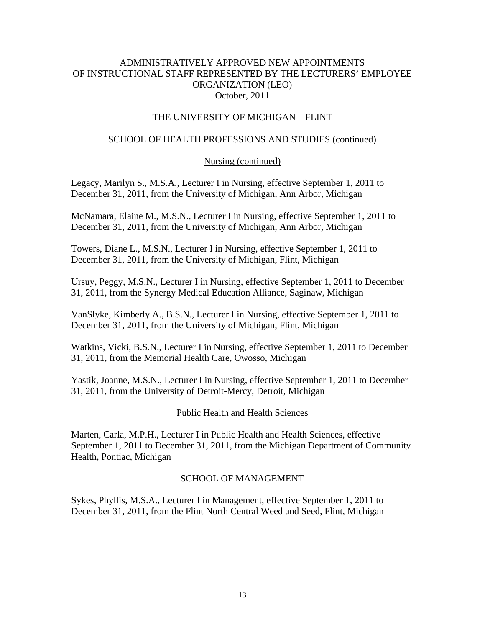# THE UNIVERSITY OF MICHIGAN – FLINT

# SCHOOL OF HEALTH PROFESSIONS AND STUDIES (continued)

## Nursing (continued)

Legacy, Marilyn S., M.S.A., Lecturer I in Nursing, effective September 1, 2011 to December 31, 2011, from the University of Michigan, Ann Arbor, Michigan

McNamara, Elaine M., M.S.N., Lecturer I in Nursing, effective September 1, 2011 to December 31, 2011, from the University of Michigan, Ann Arbor, Michigan

Towers, Diane L., M.S.N., Lecturer I in Nursing, effective September 1, 2011 to December 31, 2011, from the University of Michigan, Flint, Michigan

Ursuy, Peggy, M.S.N., Lecturer I in Nursing, effective September 1, 2011 to December 31, 2011, from the Synergy Medical Education Alliance, Saginaw, Michigan

VanSlyke, Kimberly A., B.S.N., Lecturer I in Nursing, effective September 1, 2011 to December 31, 2011, from the University of Michigan, Flint, Michigan

Watkins, Vicki, B.S.N., Lecturer I in Nursing, effective September 1, 2011 to December 31, 2011, from the Memorial Health Care, Owosso, Michigan

Yastik, Joanne, M.S.N., Lecturer I in Nursing, effective September 1, 2011 to December 31, 2011, from the University of Detroit-Mercy, Detroit, Michigan

## Public Health and Health Sciences

Marten, Carla, M.P.H., Lecturer I in Public Health and Health Sciences, effective September 1, 2011 to December 31, 2011, from the Michigan Department of Community Health, Pontiac, Michigan

## SCHOOL OF MANAGEMENT

Sykes, Phyllis, M.S.A., Lecturer I in Management, effective September 1, 2011 to December 31, 2011, from the Flint North Central Weed and Seed, Flint, Michigan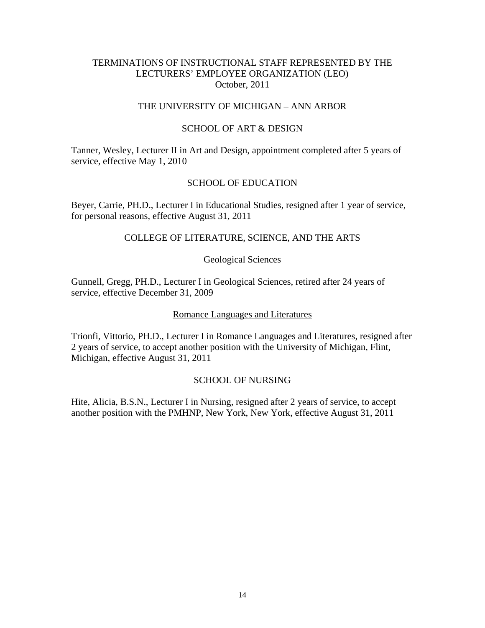## TERMINATIONS OF INSTRUCTIONAL STAFF REPRESENTED BY THE LECTURERS' EMPLOYEE ORGANIZATION (LEO) October, 2011

### THE UNIVERSITY OF MICHIGAN – ANN ARBOR

### SCHOOL OF ART & DESIGN

Tanner, Wesley, Lecturer II in Art and Design, appointment completed after 5 years of service, effective May 1, 2010

### SCHOOL OF EDUCATION

Beyer, Carrie, PH.D., Lecturer I in Educational Studies, resigned after 1 year of service, for personal reasons, effective August 31, 2011

## COLLEGE OF LITERATURE, SCIENCE, AND THE ARTS

#### Geological Sciences

Gunnell, Gregg, PH.D., Lecturer I in Geological Sciences, retired after 24 years of service, effective December 31, 2009

#### Romance Languages and Literatures

Trionfi, Vittorio, PH.D., Lecturer I in Romance Languages and Literatures, resigned after 2 years of service, to accept another position with the University of Michigan, Flint, Michigan, effective August 31, 2011

### SCHOOL OF NURSING

Hite, Alicia, B.S.N., Lecturer I in Nursing, resigned after 2 years of service, to accept another position with the PMHNP, New York, New York, effective August 31, 2011